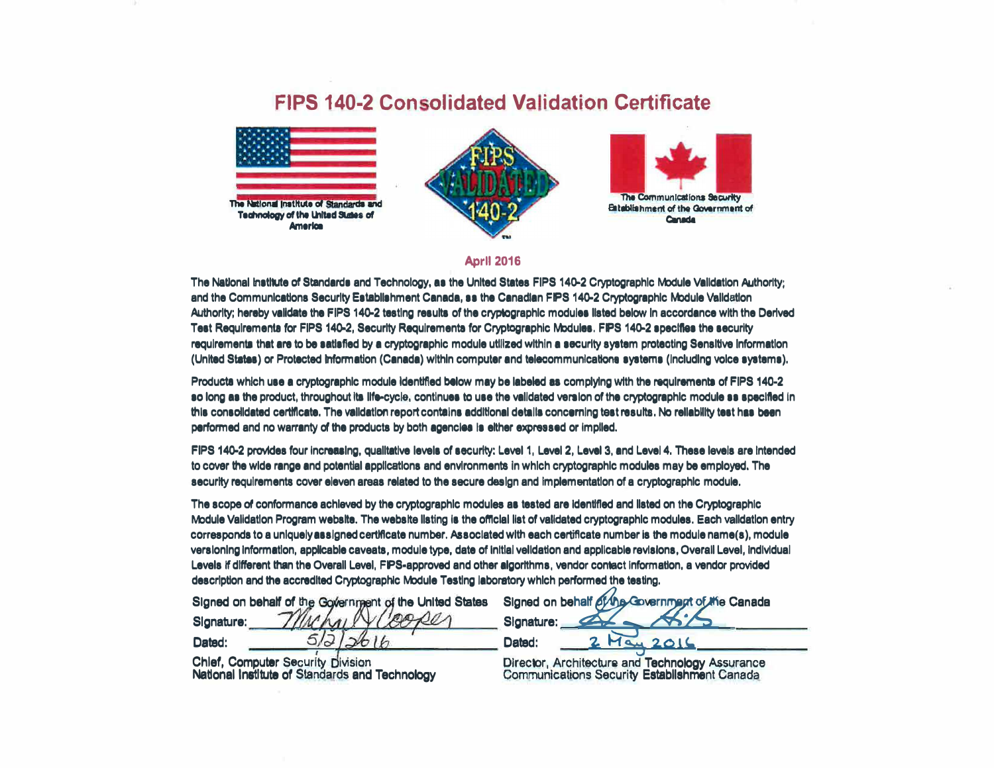## **FIPS 140-2 Consolidated Validation Certificate**







## **April 2016**

The National institute of Standards and Technology, as the United States FIPS 140-2 Cryptographic Module Validation Authority; and the Communications Security Establishment Canada, ss the Canadian FIPS 140-2 Cryptographic Module Validation Authority; hereby validate the FIPS 140-2 testing results of the crypiographic modules listed below in accordance with the Derived Test Requirements for FIPS 140-2, Security Requirements for Cryptographic Modules. FIPS 140-2 specifies the security requirements that are to be satisfied by a cryptographic module utilized within a security system protecting Sensitive Information (United States) or Protected Information (Canada) within computer and telecommunications systems (including voice systems).

Products which use a cryptographic module identified below may be labeled as complying with the requirements of FIPS 140-2 so long as the product, throughout its life-cycle, continues to use the validated version of the cryptographic module ss specified in this consolidated certificate. The validation report contains additional details concerning test results. No reliability test has been performed and no warranty of the products by both agencies is either expressed or implied.

FIPS 140-2 provides four increasing, qualitative levels of security; Level 1, Level 2, Level 3, and Level 4, These levels are intended to cover the wide range and potential applications and environments in which cryptographic modules may be employed. The security requirements cover eleven areas related to the secure design and implementation of a cryptographic module.

The scope of conformance achieved by the cryptographic modules as tested are identified and listed on the Cryptographic Module Validation Program website. The website listing is the official list of validated cryptographic modules. Each validation entry corresponds to a uniquely assigned certificate number. Associated with each certificate number is the module name(s), module versioning information, applicable caveats, module type, date of initial velidation and applicable revisions, Overall Level, individual Levels if different than the Overall Level, FIPS-approved and other algorithms, vendor contact information, a vendor provided description and the accredited Cryptographic Module Testing laboratory which performed the testing.

Signed on behalf of the Government of the United States

Slanature: 5. ב' Dated:

**Chief, Computer Security Division** National Institute of Standards and Technology

Signed on behalf of the Government of the Canada Signature: Dated: au  $201$ 

Director, Architecture and Technology Assurance **Communications Security Establishment Canada**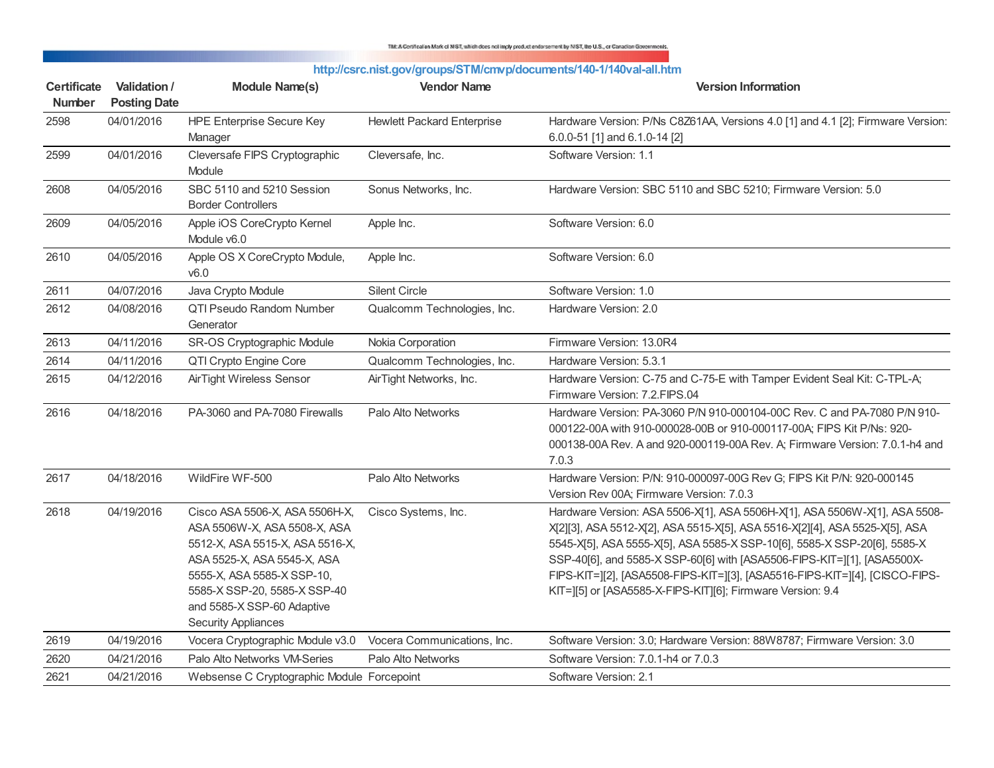TM: A Conficulion Mark of MST, which does not imply product endorsement by MST, the U.S., or Canadian Governments.

| http://csrc.nist.gov/groups/STM/cmvp/documents/140-1/140val-all.htm |  |
|---------------------------------------------------------------------|--|
|---------------------------------------------------------------------|--|

| <b>Certificate</b><br><b>Number</b> | Validation /<br><b>Posting Date</b> | <b>Module Name(s)</b>                                                                                                                                                                                                                                      | <b>Vendor Name</b>                | <b>Version Information</b>                                                                                                                                                                                                                                                                                                                                                                                                                                    |
|-------------------------------------|-------------------------------------|------------------------------------------------------------------------------------------------------------------------------------------------------------------------------------------------------------------------------------------------------------|-----------------------------------|---------------------------------------------------------------------------------------------------------------------------------------------------------------------------------------------------------------------------------------------------------------------------------------------------------------------------------------------------------------------------------------------------------------------------------------------------------------|
| 2598                                | 04/01/2016                          | <b>HPE Enterprise Secure Key</b><br>Manager                                                                                                                                                                                                                | <b>Hewlett Packard Enterprise</b> | Hardware Version: P/Ns C8Z61AA, Versions 4.0 [1] and 4.1 [2]; Firmware Version:<br>6.0.0-51 [1] and 6.1.0-14 [2]                                                                                                                                                                                                                                                                                                                                              |
| 2599                                | 04/01/2016                          | Cleversafe FIPS Cryptographic<br>Module                                                                                                                                                                                                                    | Cleversafe, Inc.                  | Software Version: 1.1                                                                                                                                                                                                                                                                                                                                                                                                                                         |
| 2608                                | 04/05/2016                          | SBC 5110 and 5210 Session<br><b>Border Controllers</b>                                                                                                                                                                                                     | Sonus Networks, Inc.              | Hardware Version: SBC 5110 and SBC 5210; Firmware Version: 5.0                                                                                                                                                                                                                                                                                                                                                                                                |
| 2609                                | 04/05/2016                          | Apple iOS CoreCrypto Kernel<br>Module v6.0                                                                                                                                                                                                                 | Apple Inc.                        | Software Version: 6.0                                                                                                                                                                                                                                                                                                                                                                                                                                         |
| 2610                                | 04/05/2016                          | Apple OS X CoreCrypto Module,<br>v6.0                                                                                                                                                                                                                      | Apple Inc.                        | Software Version: 6.0                                                                                                                                                                                                                                                                                                                                                                                                                                         |
| 2611                                | 04/07/2016                          | Java Crypto Module                                                                                                                                                                                                                                         | <b>Silent Circle</b>              | Software Version: 1.0                                                                                                                                                                                                                                                                                                                                                                                                                                         |
| 2612                                | 04/08/2016                          | <b>QTI Pseudo Random Number</b><br>Generator                                                                                                                                                                                                               | Qualcomm Technologies, Inc.       | Hardware Version: 2.0                                                                                                                                                                                                                                                                                                                                                                                                                                         |
| 2613                                | 04/11/2016                          | SR-OS Cryptographic Module                                                                                                                                                                                                                                 | Nokia Corporation                 | Firmware Version: 13.0R4                                                                                                                                                                                                                                                                                                                                                                                                                                      |
| 2614                                | 04/11/2016                          | QTI Crypto Engine Core                                                                                                                                                                                                                                     | Qualcomm Technologies, Inc.       | Hardware Version: 5.3.1                                                                                                                                                                                                                                                                                                                                                                                                                                       |
| 2615                                | 04/12/2016                          | AirTight Wireless Sensor                                                                                                                                                                                                                                   | AirTight Networks, Inc.           | Hardware Version: C-75 and C-75-E with Tamper Evident Seal Kit: C-TPL-A;<br>Firmware Version: 7.2.FIPS.04                                                                                                                                                                                                                                                                                                                                                     |
| 2616                                | 04/18/2016                          | PA-3060 and PA-7080 Firewalls                                                                                                                                                                                                                              | Palo Alto Networks                | Hardware Version: PA-3060 P/N 910-000104-00C Rev. C and PA-7080 P/N 910-<br>000122-00A with 910-000028-00B or 910-000117-00A; FIPS Kit P/Ns: 920-<br>000138-00A Rev. A and 920-000119-00A Rev. A; Firmware Version: 7.0.1-h4 and<br>7.0.3                                                                                                                                                                                                                     |
| 2617                                | 04/18/2016                          | WildFire WF-500                                                                                                                                                                                                                                            | Palo Alto Networks                | Hardware Version: P/N: 910-000097-00G Rev G; FIPS Kit P/N: 920-000145<br>Version Rev 00A; Firmware Version: 7.0.3                                                                                                                                                                                                                                                                                                                                             |
| 2618                                | 04/19/2016                          | Cisco ASA 5506-X, ASA 5506H-X,<br>ASA 5506W-X, ASA 5508-X, ASA<br>5512-X, ASA 5515-X, ASA 5516-X,<br>ASA 5525-X, ASA 5545-X, ASA<br>5555-X, ASA 5585-X SSP-10,<br>5585-X SSP-20, 5585-X SSP-40<br>and 5585-X SSP-60 Adaptive<br><b>Security Appliances</b> | Cisco Systems, Inc.               | Hardware Version: ASA 5506-X[1], ASA 5506H-X[1], ASA 5506W-X[1], ASA 5508-<br>X[2][3], ASA 5512-X[2], ASA 5515-X[5], ASA 5516-X[2][4], ASA 5525-X[5], ASA<br>5545-X[5], ASA 5555-X[5], ASA 5585-X SSP-10[6], 5585-X SSP-20[6], 5585-X<br>SSP-40[6], and 5585-X SSP-60[6] with [ASA5506-FIPS-KIT=][1], [ASA5500X-<br>FIPS-KIT=][2], [ASA5508-FIPS-KIT=][3], [ASA5516-FIPS-KIT=][4], [CISCO-FIPS-<br>KIT=][5] or [ASA5585-X-FIPS-KIT][6]; Firmware Version: 9.4 |
| 2619                                | 04/19/2016                          | Vocera Cryptographic Module v3.0                                                                                                                                                                                                                           | Vocera Communications, Inc.       | Software Version: 3.0; Hardware Version: 88W8787; Firmware Version: 3.0                                                                                                                                                                                                                                                                                                                                                                                       |
| 2620                                | 04/21/2016                          | Palo Alto Networks VM-Series                                                                                                                                                                                                                               | Palo Alto Networks                | Software Version: 7.0.1-h4 or 7.0.3                                                                                                                                                                                                                                                                                                                                                                                                                           |
| 2621                                | 04/21/2016                          | Websense C Cryptographic Module Forcepoint                                                                                                                                                                                                                 |                                   | Software Version: 2.1                                                                                                                                                                                                                                                                                                                                                                                                                                         |